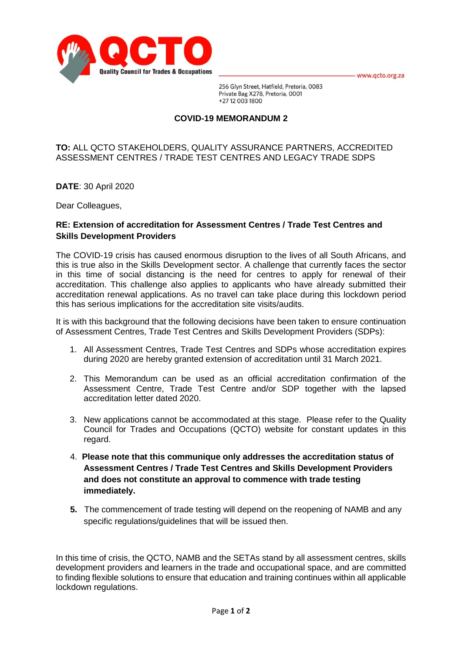- www.qcto.org.za



256 Glyn Street, Hatfield, Pretoria, 0083 Private Bag X278, Pretoria, 0001 +27 12 003 1800

## **COVID-19 MEMORANDUM 2**

## **TO:** ALL QCTO STAKEHOLDERS, QUALITY ASSURANCE PARTNERS, ACCREDITED ASSESSMENT CENTRES / TRADE TEST CENTRES AND LEGACY TRADE SDPS

**DATE**: 30 April 2020

Dear Colleagues,

## **RE: Extension of accreditation for Assessment Centres / Trade Test Centres and Skills Development Providers**

The COVID-19 crisis has caused enormous disruption to the lives of all South Africans, and this is true also in the Skills Development sector. A challenge that currently faces the sector in this time of social distancing is the need for centres to apply for renewal of their accreditation. This challenge also applies to applicants who have already submitted their accreditation renewal applications. As no travel can take place during this lockdown period this has serious implications for the accreditation site visits/audits.

It is with this background that the following decisions have been taken to ensure continuation of Assessment Centres, Trade Test Centres and Skills Development Providers (SDPs):

- 1. All Assessment Centres, Trade Test Centres and SDPs whose accreditation expires during 2020 are hereby granted extension of accreditation until 31 March 2021.
- 2. This Memorandum can be used as an official accreditation confirmation of the Assessment Centre, Trade Test Centre and/or SDP together with the lapsed accreditation letter dated 2020.
- 3. New applications cannot be accommodated at this stage. Please refer to the Quality Council for Trades and Occupations (QCTO) website for constant updates in this regard.
- 4. **Please note that this communique only addresses the accreditation status of Assessment Centres / Trade Test Centres and Skills Development Providers and does not constitute an approval to commence with trade testing immediately.**
- **5.** The commencement of trade testing will depend on the reopening of NAMB and any specific regulations/guidelines that will be issued then.

In this time of crisis, the QCTO, NAMB and the SETAs stand by all assessment centres, skills development providers and learners in the trade and occupational space, and are committed to finding flexible solutions to ensure that education and training continues within all applicable lockdown regulations.